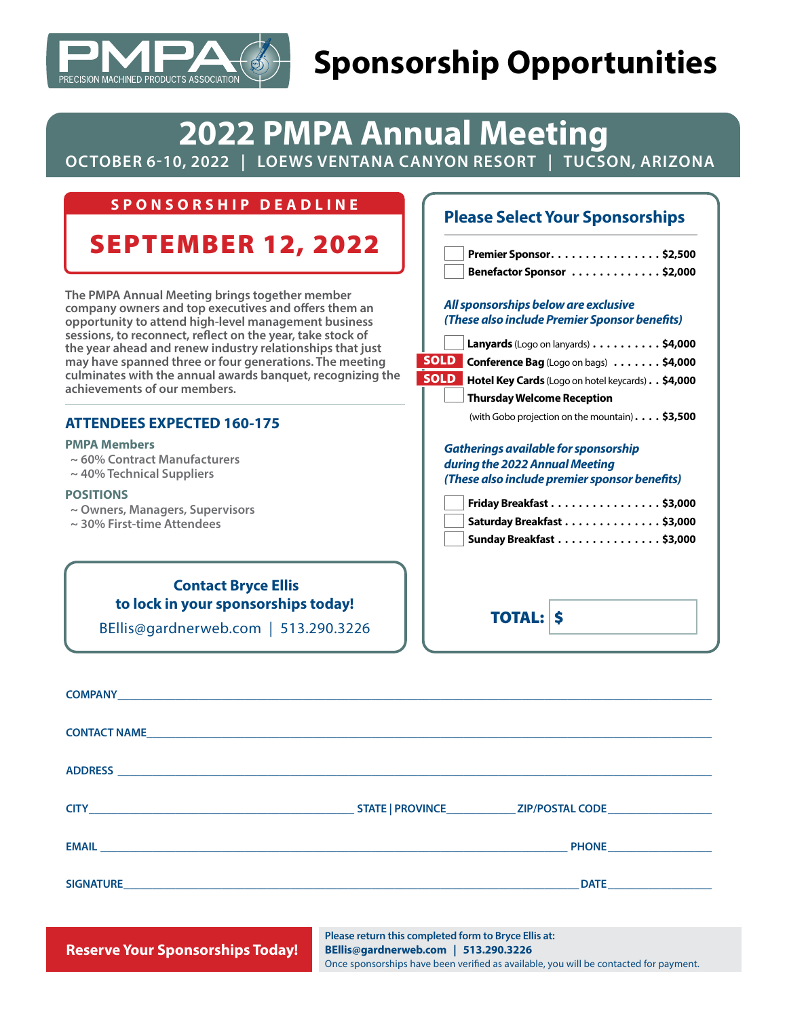

## **Sponsorship Opportunities**

## **2022 PMPA Annual Meeting**

**OCTOBER 6-10, 2022 | LOEWS VENTANA CANYON RESORT | TUCSON, ARIZONA**

| SPONSORSHIP DEADLINE                                                                                                                                                                                                                                                                                                                                                                                                                                                                    | <b>Please Select Your Sponsorships</b>                                                                                                                                                                                                                                                                                                    |  |
|-----------------------------------------------------------------------------------------------------------------------------------------------------------------------------------------------------------------------------------------------------------------------------------------------------------------------------------------------------------------------------------------------------------------------------------------------------------------------------------------|-------------------------------------------------------------------------------------------------------------------------------------------------------------------------------------------------------------------------------------------------------------------------------------------------------------------------------------------|--|
| <b>SEPTEMBER 12, 2022</b>                                                                                                                                                                                                                                                                                                                                                                                                                                                               | Premier Sponsor. \$2,500<br>Benefactor Sponsor \$2,000                                                                                                                                                                                                                                                                                    |  |
| The PMPA Annual Meeting brings together member<br>company owners and top executives and offers them an<br>opportunity to attend high-level management business<br>sessions, to reconnect, reflect on the year, take stock of<br>the year ahead and renew industry relationships that just<br>may have spanned three or four generations. The meeting<br>culminates with the annual awards banquet, recognizing the<br>achievements of our members.<br><b>ATTENDEES EXPECTED 160-175</b> | All sponsorships below are exclusive<br>(These also include Premier Sponsor benefits)<br>Lanyards (Logo on lanyards) \$4,000<br><b>SOLD</b> Conference Bag (Logo on bags) \$4,000<br><b>SOLD</b> Hotel Key Cards (Logo on hotel keycards) \$4,000<br><b>Thursday Welcome Reception</b><br>(with Gobo projection on the mountain). \$3,500 |  |
| <b>PMPA Members</b><br>$\sim$ 60% Contract Manufacturers<br>$\sim$ 40% Technical Suppliers<br><b>POSITIONS</b><br>$\sim$ Owners, Managers, Supervisors<br>$\sim$ 30% First-time Attendees                                                                                                                                                                                                                                                                                               | <b>Gatherings available for sponsorship</b><br>during the 2022 Annual Meeting<br>(These also include premier sponsor benefits)<br>Friday Breakfast \$3,000<br>Saturday Breakfast \$3,000<br>Sunday Breakfast \$3,000                                                                                                                      |  |
| <b>Contact Bryce Ellis</b><br>to lock in your sponsorships today!<br>BEllis@gardnerweb.com   513.290.3226                                                                                                                                                                                                                                                                                                                                                                               | <b>TOTAL: S</b>                                                                                                                                                                                                                                                                                                                           |  |
| <b>COMPANY</b>                                                                                                                                                                                                                                                                                                                                                                                                                                                                          |                                                                                                                                                                                                                                                                                                                                           |  |

| CONTACT NAME |                                                                                   |                                                |
|--------------|-----------------------------------------------------------------------------------|------------------------------------------------|
|              |                                                                                   |                                                |
|              |                                                                                   |                                                |
|              |                                                                                   | PHONE <b>And Container the Container PHONE</b> |
|              |                                                                                   | <b>DATE <i>CONTRACTERS</i></b>                 |
|              | ,我们也不会有什么。""我们,我们也不会有什么?""我们,我们也不会有什么?""我们,我们也不会有什么?""我们,我们也不会有什么?""我们,我们也不会有什么?" |                                                |

**Reserve Your Sponsorships Today!** 

**Please return this completed form to Bryce Ellis at: BEllis@gardnerweb.com | 513.290.3226** Once sponsorships have been verified as available, you will be contacted for payment.